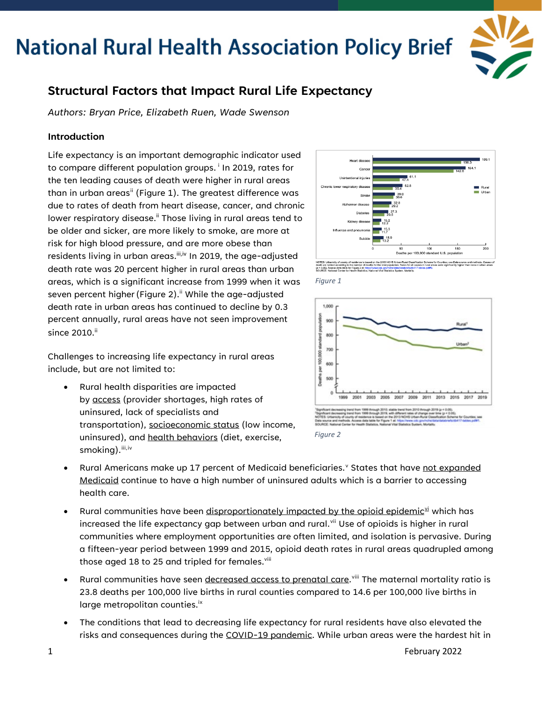

### **Structural Factors that Impact Rural Life Expectancy**

*Authors: Bryan Price, Elizabeth Ruen, Wade Swenson*

### **Introduction**

Life expectancy is an important demographic indicator used to compare d[i](#page-3-0)fferent population groups.<sup>i</sup> In 2019, rates for the ten leading causes of death were higher in rural areas than in urban areas<sup>[ii](#page-3-1)</sup> (Figure 1). The greatest difference was due to rates of death from heart disease, cancer, and chronic lower respiratory disease.<sup>ii</sup> Those living in rural areas tend to be older and sicker, are more likely to smoke, are more at risk for high blood pressure, and are more obese than residents living in urban areas. iii,iv In 2019, the age-adjusted death rate was 20 percent higher in rural areas than urban areas, which is a significant increase from 1999 when it was seven percent higher (Figure 2).<sup>ii</sup> While the age-adjusted death rate in urban areas has continued to decline by 0.3 percent annually, rural areas have not seen improvement since 2010.<sup>ii</sup>

Challenges to increasing life expectancy in rural areas include, but are not limited to:

• Rural health disparities are impacted by access (provider shortages, high rates of uninsured, lack of specialists and transportation), socioeconomic status (low income, uninsured), and health behaviors (diet, exercise, smoking). [iii](#page-3-2), [iv](#page-3-3)









- Rural Americans make up 17 percent of Medicaid beneficiaries.<sup>[v](#page-3-4)</sup> States that have not expanded Medicaid continue to have a high number of uninsured adults which is a barrier to accessing health care.
- Rural communities have been disproportionately impacted by the opioid epidemic<sup>yi</sup> which has increased the life expectancy gap between urban and rural. $v$ <sup>ii</sup> Use of opioids is higher in rural communities where employment opportunities are often limited, and isolation is pervasive. During a fifteen-year period between 1999 and 2015, opioid death rates in rural areas quadrupled among those aged 18 to 25 and tripled for females.<sup>viii</sup>
- $\bullet$  Rural communities have seen <u>decreased access to prenatal care.</u>  $^{\text{viii}}$  $^{\text{viii}}$  $^{\text{viii}}$  The maternal mortality ratio is 23.8 deaths per 100,000 live births in rural counties compared to 14.6 per 100,000 live births in large metropolitan counties.<sup>ix</sup>
- The conditions that lead to decreasing life expectancy for rural residents have also elevated the risks and consequences during the COVID-19 pandemic. While urban areas were the hardest hit in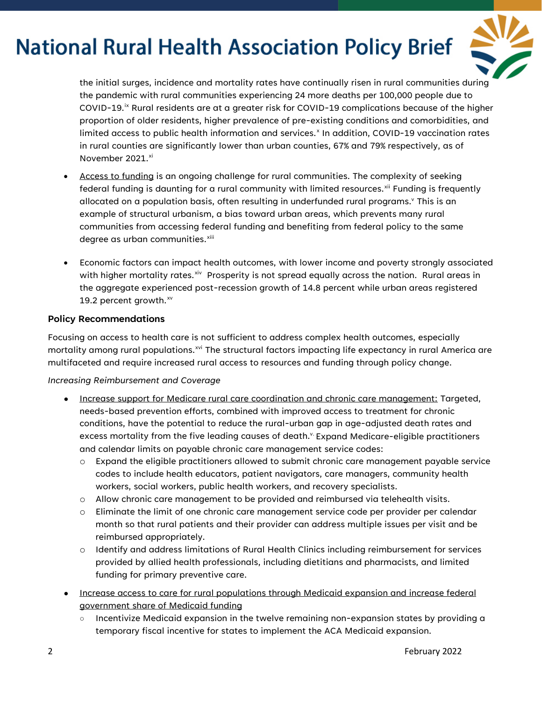

the initial surges, incidence and mortality rates have continually risen in rural communities during the pandemic with rural communities experiencing 24 more deaths per 100,000 people due to COVID-19.<sup>[ix](#page-3-8)</sup> Rural residents are at a greater risk for COVID-19 complications because of the higher proportion of older residents, higher prevalence of pre-existing conditions and comorbidities, and limited access to public health information and services.<sup>[x](#page-3-9)</sup> In addition, COVID-19 vaccination rates in rural counties are significantly lower than urban counties, 67% and 79% respectively, as of November 2021.<sup>[xi](#page-3-10)</sup>

- Access to funding is an ongoing challenge for rural communities. The complexity of seeking federal funding is daunting for a rural community with limited resources.<sup>[xii](#page-3-11)</sup> Funding is frequently allocated on a population basis, often resulting in underfunded rural programs.<sup>y</sup> This is an example of structural urbanism, a bias toward urban areas, which prevents many rural communities from accessing federal funding and benefiting from federal policy to the same degree as urban communities.<sup>[xiii](#page-3-12)</sup>
- Economic factors can impact health outcomes, with lower income and poverty strongly associated with higher mortality rates. $x^i$  Prosperity is not spread equally across the nation. Rural areas in the aggregate experienced post-recession growth of 14.8 percent while urban areas registered 19.2 percent growth. $^{xv}$  $^{xv}$  $^{xv}$

### **Policy Recommendations**

Focusing on access to health care is not sufficient to address complex health outcomes, especially mortality among rural populations.<sup>[xvi](#page-3-15)</sup> The structural factors impacting life expectancy in rural America are multifaceted and require increased rural access to resources and funding through policy change.

#### *Increasing Reimbursement and Coverage*

- Increase support for Medicare rural care coordination and chronic care management: Targeted, needs-based prevention efforts, combined with improved access to treatment for chronic conditions, have the potential to reduce the rural-urban gap in age-adjusted death rates and excess mortality from the five leading causes of death. Expand Medicare-eligible practitioners and calendar limits on payable chronic care management service codes:
	- o Expand the eligible practitioners allowed to submit chronic care management payable service codes to include health educators, patient navigators, care managers, community health workers, social workers, public health workers, and recovery specialists.
	- $\circ$  Allow chronic care management to be provided and reimbursed via telehealth visits.
	- o Eliminate the limit of one chronic care management service code per provider per calendar month so that rural patients and their provider can address multiple issues per visit and be reimbursed appropriately.
	- o Identify and address limitations of Rural Health Clinics including reimbursement for services provided by allied health professionals, including dietitians and pharmacists, and limited funding for primary preventive care.
- Increase access to care for rural populations through Medicaid expansion and increase federal government share of Medicaid funding
	- Incentivize Medicaid expansion in the twelve remaining non-expansion states by providing a temporary fiscal incentive for states to implement the ACA Medicaid expansion.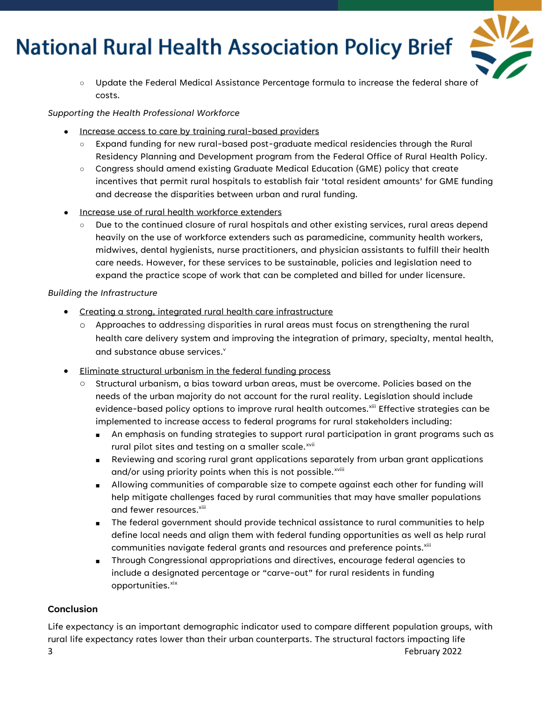

○ Update the Federal Medical Assistance Percentage formula to increase the federal share of costs.

#### *Supporting the Health Professional Workforce*

- Increase access to care by training rural-based providers
	- Expand funding for new rural-based post-graduate medical residencies through the Rural Residency Planning and Development program from the Federal Office of Rural Health Policy.
	- Congress should amend existing Graduate Medical Education (GME) policy that create incentives that permit rural hospitals to establish fair 'total resident amounts' for GME funding and decrease the disparities between urban and rural funding.
- Increase use of rural health workforce extenders
	- Due to the continued closure of rural hospitals and other existing services, rural areas depend heavily on the use of workforce extenders such as paramedicine, community health workers, midwives, dental hygienists, nurse practitioners, and physician assistants to fulfill their health care needs. However, for these services to be sustainable, policies and legislation need to expand the practice scope of work that can be completed and billed for under licensure.

#### *Building the Infrastructure*

- Creating a strong, integrated rural health care infrastructure
	- o Approaches to addressing disparities in rural areas must focus on strengthening the rural health care delivery system and improving the integration of primary, specialty, mental health, and substance abuse services.<sup>v</sup>
- Eliminate structural urbanism in the federal funding process
	- Structural urbanism, a bias toward urban areas, must be overcome. Policies based on the needs of the urban majority do not account for the rural reality. Legislation should include evidence-based policy options to improve rural health outcomes.<sup>xiii</sup> Effective strategies can be implemented to increase access to federal programs for rural stakeholders including:
		- An emphasis on funding strategies to support rural participation in grant programs such as rural pilot sites and testing on a smaller scale.<sup>[xvii](#page-3-16)</sup>
		- Reviewing and scoring rural grant applications separately from urban grant applications and/or us[i](#page-3-17)ng priority points when this is not possible.<sup>xviii</sup>
		- Allowing communities of comparable size to compete against each other for funding will help mitigate challenges faced by rural communities that may have smaller populations and fewer resources.<sup>xiii</sup>
		- The federal government should provide technical assistance to rural communities to help define local needs and align them with federal funding opportunities as well as help rural communities navigate federal grants and resources and preference points.<sup>xiii</sup>
		- Through Congressional appropriations and directives, encourage federal agencies to include a designated percentage or "carve-out" for rural residents in funding opportunities[.xix](#page-3-18)

### **Conclusion**

3 February 2022 Life expectancy is an important demographic indicator used to compare different population groups, with rural life expectancy rates lower than their urban counterparts. The structural factors impacting life